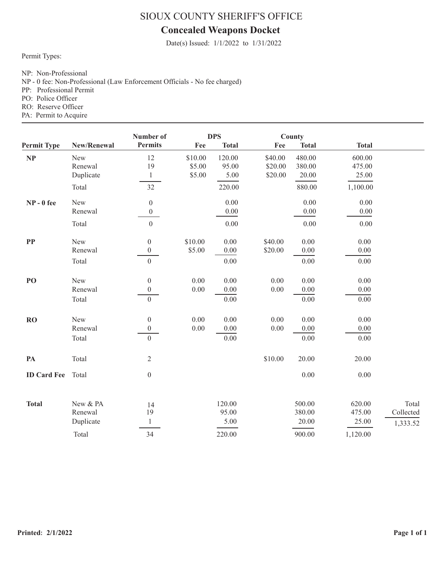# **Concealed Weapons Docket**

Date(s) Issued: 1/1/2022 to 1/31/2022

Permit Types:

NP: Non-Professional

NP - 0 fee: Non-Professional (Law Enforcement Officials - No fee charged)

PP: Professional Permit

PO: Police Officer

RO: Reserve Officer

|                    |             | Number of        | <b>DPS</b> |              |          | County       |                   |           |
|--------------------|-------------|------------------|------------|--------------|----------|--------------|-------------------|-----------|
| <b>Permit Type</b> | New/Renewal | <b>Permits</b>   | Fee        | <b>Total</b> | Fee      | <b>Total</b> | <b>Total</b>      |           |
| <b>NP</b>          | New         | 12               | \$10.00    | 120.00       | \$40.00  | 480.00       | 600.00            |           |
|                    | Renewal     | 19               | \$5.00     | 95.00        | \$20.00  | 380.00       | 475.00            |           |
|                    | Duplicate   | $\mathbf{1}$     | \$5.00     | 5.00         | \$20.00  | 20.00        | 25.00             |           |
|                    | Total       | 32               |            | 220.00       |          | 880.00       | 1,100.00          |           |
| $NP - 0$ fee       | New         | $\boldsymbol{0}$ |            | 0.00         |          | 0.00         | 0.00              |           |
|                    | Renewal     | $\overline{0}$   |            | 0.00         |          | $0.00\,$     | $0.00\,$          |           |
|                    | Total       | $\boldsymbol{0}$ |            | 0.00         |          | 0.00         | 0.00              |           |
| $\bf PP$           | New         | $\boldsymbol{0}$ | \$10.00    | 0.00         | \$40.00  | 0.00         | 0.00              |           |
|                    | Renewal     | $\boldsymbol{0}$ | \$5.00     | $0.00\,$     | \$20.00  | $0.00\,$     | $0.00\,$          |           |
|                    | Total       | $\boldsymbol{0}$ |            | $0.00\,$     |          | $0.00\,$     | $0.00\,$          |           |
| PO                 | New         | $\boldsymbol{0}$ | 0.00       | 0.00         | 0.00     | 0.00         | 0.00              |           |
|                    | Renewal     | $\boldsymbol{0}$ | 0.00       | $0.00\,$     | $0.00\,$ | $0.00\,$     | 0.00              |           |
|                    | Total       | $\overline{0}$   |            | 0.00         |          | 0.00         | $\overline{0.00}$ |           |
| <b>RO</b>          | New         | $\boldsymbol{0}$ | 0.00       | 0.00         | 0.00     | $0.00\,$     | 0.00              |           |
|                    | Renewal     | $\boldsymbol{0}$ | 0.00       | 0.00         | $0.00\,$ | $0.00\,$     | $0.00\,$          |           |
|                    | Total       | $\overline{0}$   |            | $0.00\,$     |          | $0.00\,$     | $0.00\,$          |           |
| PA                 | Total       | $\sqrt{2}$       |            |              | \$10.00  | 20.00        | 20.00             |           |
| <b>ID Card Fee</b> | Total       | $\boldsymbol{0}$ |            |              |          | $0.00\,$     | $0.00\,$          |           |
|                    |             |                  |            |              |          |              |                   |           |
| <b>Total</b>       | New & PA    | 14               |            | 120.00       |          | 500.00       | 620.00            | Total     |
|                    | Renewal     | 19               |            | 95.00        |          | 380.00       | 475.00            | Collected |
|                    | Duplicate   | $\mathbf{1}$     |            | 5.00         |          | 20.00        | 25.00             | 1,333.52  |
|                    | Total       | 34               |            | 220.00       |          | 900.00       | 1,120.00          |           |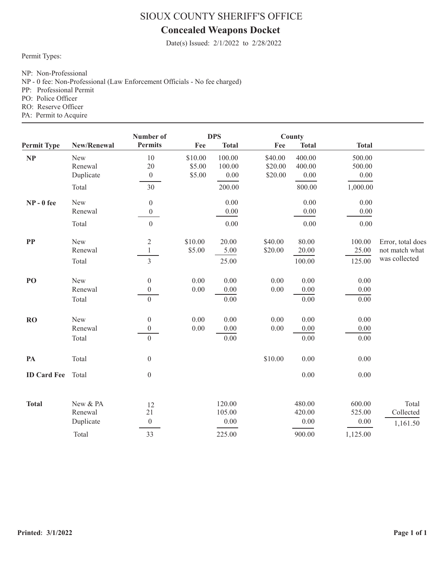# **Concealed Weapons Docket**

Date(s) Issued: 2/1/2022 to 2/28/2022

Permit Types:

NP: Non-Professional

NP - 0 fee: Non-Professional (Law Enforcement Officials - No fee charged)

PP: Professional Permit

PO: Police Officer

RO: Reserve Officer

| <b>Permit Type</b> |             | Number of<br><b>DPS</b> |         |              |          | County       |              |                   |
|--------------------|-------------|-------------------------|---------|--------------|----------|--------------|--------------|-------------------|
|                    | New/Renewal | <b>Permits</b>          | Fee     | <b>Total</b> | Fee      | <b>Total</b> | <b>Total</b> |                   |
| NP                 | New         | 10                      | \$10.00 | 100.00       | \$40.00  | 400.00       | 500.00       |                   |
|                    | Renewal     | 20                      | \$5.00  | 100.00       | \$20.00  | 400.00       | 500.00       |                   |
|                    | Duplicate   | $\boldsymbol{0}$        | \$5.00  | 0.00         | \$20.00  | 0.00         | 0.00         |                   |
|                    | Total       | 30                      |         | 200.00       |          | 800.00       | 1,000.00     |                   |
| $NP - 0$ fee       | New         | $\boldsymbol{0}$        |         | 0.00         |          | 0.00         | 0.00         |                   |
|                    | Renewal     | $\boldsymbol{0}$        |         | 0.00         |          | 0.00         | 0.00         |                   |
|                    | Total       | $\mathbf{0}$            |         | 0.00         |          | 0.00         | 0.00         |                   |
| ${\bf PP}$         | New         | $\overline{2}$          | \$10.00 | 20.00        | \$40.00  | 80.00        | 100.00       | Error, total does |
|                    | Renewal     | $\mathbf{1}$            | \$5.00  | 5.00         | \$20.00  | 20.00        | 25.00        | not match what    |
|                    | Total       | $\overline{3}$          |         | 25.00        |          | 100.00       | 125.00       | was collected     |
| PO                 | New         | $\boldsymbol{0}$        | 0.00    | 0.00         | 0.00     | 0.00         | 0.00         |                   |
|                    | Renewal     | $\boldsymbol{0}$        | 0.00    | 0.00         | $0.00\,$ | 0.00         | 0.00         |                   |
|                    | Total       | $\overline{0}$          |         | 0.00         |          | 0.00         | 0.00         |                   |
| <b>RO</b>          | New         | $\boldsymbol{0}$        | 0.00    | 0.00         | $0.00\,$ | 0.00         | $0.00\,$     |                   |
|                    | Renewal     | $\boldsymbol{0}$        | 0.00    | 0.00         | $0.00\,$ | 0.00         | 0.00         |                   |
|                    | Total       | $\overline{0}$          |         | 0.00         |          | 0.00         | 0.00         |                   |
| PA                 | Total       | $\boldsymbol{0}$        |         |              | \$10.00  | 0.00         | 0.00         |                   |
| <b>ID Card Fee</b> | Total       | $\boldsymbol{0}$        |         |              |          | 0.00         | 0.00         |                   |
|                    |             |                         |         |              |          |              |              |                   |
| <b>Total</b>       | New & PA    | 12                      |         | 120.00       |          | 480.00       | 600.00       | Total             |
|                    | Renewal     | 21                      |         | 105.00       |          | 420.00       | 525.00       | Collected         |
|                    | Duplicate   | $\boldsymbol{0}$        |         | 0.00         |          | 0.00         | 0.00         | 1,161.50          |
|                    | Total       | 33                      |         | 225.00       |          | 900.00       | 1,125.00     |                   |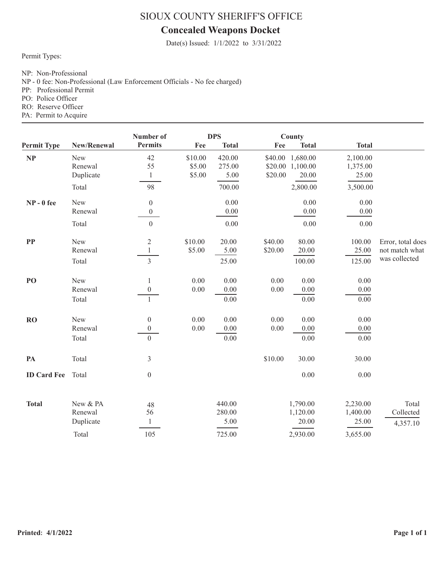# **Concealed Weapons Docket**

Date(s) Issued: 1/1/2022 to 3/31/2022

Permit Types:

NP: Non-Professional

NP - 0 fee: Non-Professional (Law Enforcement Officials - No fee charged)

PP: Professional Permit

PO: Police Officer

RO: Reserve Officer

|                    |             | <b>DPS</b><br>Number of |         | County       |          |              |                   |                   |
|--------------------|-------------|-------------------------|---------|--------------|----------|--------------|-------------------|-------------------|
| <b>Permit Type</b> | New/Renewal | <b>Permits</b>          | Fee     | <b>Total</b> | Fee      | <b>Total</b> | <b>Total</b>      |                   |
| NP                 | New         | 42                      | \$10.00 | 420.00       | \$40.00  | 1,680.00     | 2,100.00          |                   |
|                    | Renewal     | 55                      | \$5.00  | 275.00       | \$20.00  | 1,100.00     | 1,375.00          |                   |
|                    | Duplicate   | $\mathbf{1}$            | \$5.00  | 5.00         | \$20.00  | 20.00        | 25.00             |                   |
|                    | Total       | 98                      |         | 700.00       |          | 2,800.00     | 3,500.00          |                   |
| $NP - 0$ fee       | New         | $\boldsymbol{0}$        |         | 0.00         |          | 0.00         | 0.00              |                   |
|                    | Renewal     | $\boldsymbol{0}$        |         | 0.00         |          | 0.00         | 0.00              |                   |
|                    | Total       | $\mathbf{0}$            |         | 0.00         |          | 0.00         | 0.00              |                   |
| $\bf PP$           | New         | $\overline{2}$          | \$10.00 | 20.00        | \$40.00  | 80.00        | 100.00            | Error, total does |
|                    | Renewal     | $\mathbf{1}$            | \$5.00  | 5.00         | \$20.00  | 20.00        | 25.00             | not match what    |
|                    | Total       | $\overline{3}$          |         | 25.00        |          | 100.00       | 125.00            | was collected     |
| PO                 | New         | 1                       | 0.00    | 0.00         | 0.00     | 0.00         | 0.00              |                   |
|                    | Renewal     | $\boldsymbol{0}$        | 0.00    | 0.00         | $0.00\,$ | $0.00\,$     | $0.00\,$          |                   |
|                    | Total       | $\mathbf{1}$            |         | 0.00         |          | 0.00         | $\overline{0.00}$ |                   |
| <b>RO</b>          | New         | $\boldsymbol{0}$        | 0.00    | 0.00         | 0.00     | $0.00\,$     | 0.00              |                   |
|                    | Renewal     | $\theta$                | 0.00    | 0.00         | 0.00     | 0.00         | 0.00              |                   |
|                    | Total       | $\overline{0}$          |         | 0.00         |          | 0.00         | $0.00\,$          |                   |
| PA                 | Total       | $\overline{3}$          |         |              | \$10.00  | 30.00        | 30.00             |                   |
| <b>ID Card Fee</b> | Total       | $\boldsymbol{0}$        |         |              |          | $0.00\,$     | $0.00\,$          |                   |
|                    |             |                         |         |              |          |              |                   |                   |
| <b>Total</b>       | New & PA    | 48                      |         | 440.00       |          | 1,790.00     | 2,230.00          | Total             |
|                    | Renewal     | 56                      |         | 280.00       |          | 1,120.00     | 1,400.00          | Collected         |
|                    | Duplicate   | $\mathbf{1}$            |         | 5.00         |          | 20.00        | 25.00             | 4,357.10          |
|                    | Total       | 105                     |         | 725.00       |          | 2,930.00     | 3,655.00          |                   |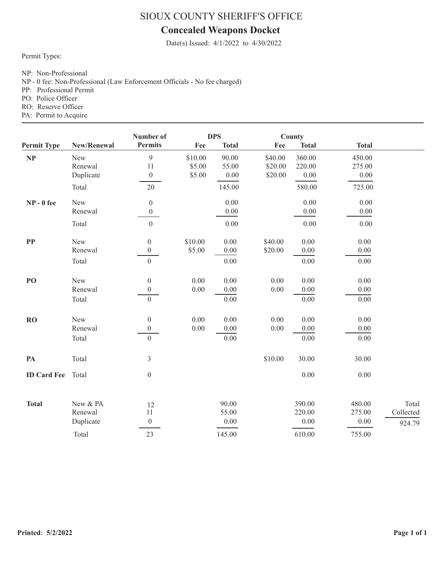# **Concealed Weapons Docket**

Date(s) Issued: 4/1/2022 to 4/30/2022

Permit Types:

NP: Non-Professional

NP - 0 fee: Non-Professional (Law Enforcement Officials - No fee charged)

PP: Professional Permit

PO: Police Officer

RO: Reserve Officer

|                    |             | Number of<br><b>DPS</b> |         |              | County   |              |              |           |
|--------------------|-------------|-------------------------|---------|--------------|----------|--------------|--------------|-----------|
| <b>Permit Type</b> | New/Renewal | <b>Permits</b>          | Fee     | <b>Total</b> | Fee      | <b>Total</b> | <b>Total</b> |           |
| NP                 | New         | 9                       | \$10.00 | 90.00        | \$40.00  | 360.00       | 450.00       |           |
|                    | Renewal     | 11                      | \$5.00  | 55.00        | \$20.00  | 220.00       | 275.00       |           |
|                    | Duplicate   | $\boldsymbol{0}$        | \$5.00  | 0.00         | \$20.00  | $0.00\,$     | 0.00         |           |
|                    | Total       | 20                      |         | 145.00       |          | 580.00       | 725.00       |           |
| $NP - 0$ fee       | New         | $\boldsymbol{0}$        |         | 0.00         |          | $0.00\,$     | 0.00         |           |
|                    | Renewal     | $\boldsymbol{0}$        |         | $0.00\,$     |          | $0.00\,$     | 0.00         |           |
|                    | Total       | $\boldsymbol{0}$        |         | $0.00\,$     |          | $0.00\,$     | 0.00         |           |
| PP                 | New         | $\mathbf{0}$            | \$10.00 | 0.00         | \$40.00  | 0.00         | 0.00         |           |
|                    | Renewal     | $\boldsymbol{0}$        | \$5.00  | 0.00         | \$20.00  | $0.00\,$     | 0.00         |           |
|                    | Total       | $\boldsymbol{0}$        |         | $0.00\,$     |          | $0.00\,$     | $0.00\,$     |           |
| PO                 | New         | $\boldsymbol{0}$        | 0.00    | 0.00         | 0.00     | 0.00         | 0.00         |           |
|                    | Renewal     | $\boldsymbol{0}$        | 0.00    | $0.00\,$     | $0.00\,$ | $0.00\,$     | 0.00         |           |
|                    | Total       | $\boldsymbol{0}$        |         | 0.00         |          | 0.00         | 0.00         |           |
| RO                 | New         | $\boldsymbol{0}$        | 0.00    | 0.00         | 0.00     | 0.00         | 0.00         |           |
|                    | Renewal     | $\boldsymbol{0}$        | 0.00    | $0.00\,$     | $0.00\,$ | 0.00         | $0.00\,$     |           |
|                    | Total       | $\overline{0}$          |         | 0.00         |          | 0.00         | 0.00         |           |
| PA                 | Total       | $\mathfrak{Z}$          |         |              | \$10.00  | 30.00        | 30.00        |           |
| <b>ID Card Fee</b> | Total       | $\boldsymbol{0}$        |         |              |          | 0.00         | 0.00         |           |
|                    |             |                         |         |              |          |              |              |           |
| <b>Total</b>       | New & PA    | 12                      |         | 90.00        |          | 390.00       | 480.00       | Total     |
|                    | Renewal     | 11                      |         | 55.00        |          | 220.00       | 275.00       | Collected |
|                    | Duplicate   | $\boldsymbol{0}$        |         | 0.00         |          | 0.00         | 0.00         | 924.79    |
|                    | Total       | 23                      |         | 145.00       |          | 610.00       | 755.00       |           |